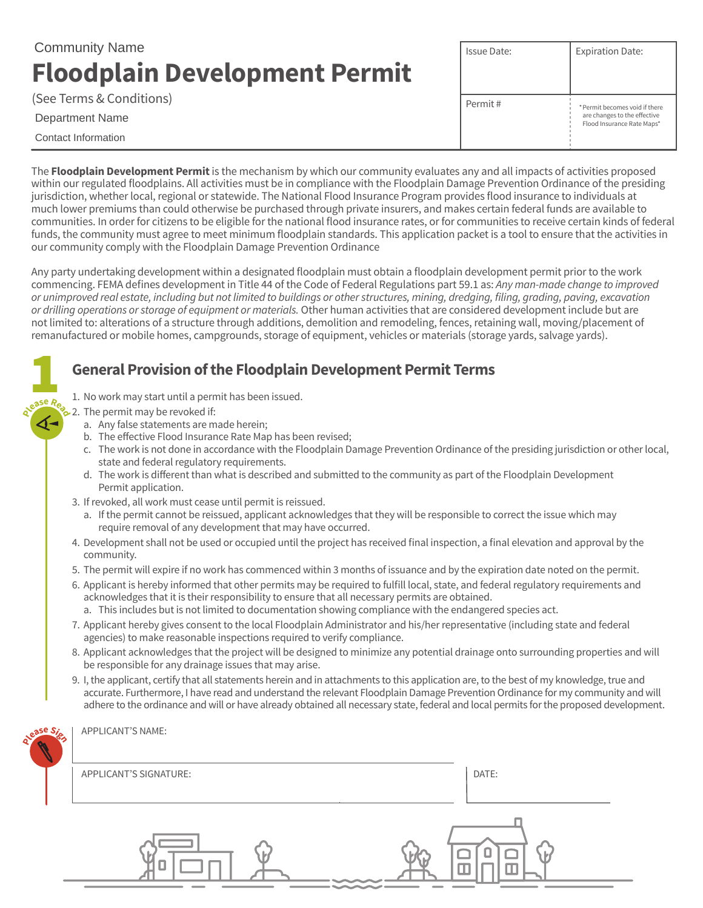# **Floodplain Development Permit** Community Name

| (See Terms & Conditions) |  |
|--------------------------|--|
|--------------------------|--|

#### Department Name

Contact Information

**1** 

| Issue Date: | <b>Expiration Date:</b>                                                                      |
|-------------|----------------------------------------------------------------------------------------------|
| Permit#     | * Permit becomes void if there<br>are changes to the effective<br>Flood Insurance Rate Maps* |

The **Floodplain Development Permit** is the mechanism by which our community evaluates any and all impacts of activities proposed within our regulated floodplains. All activities must be in compliance with the Floodplain Damage Prevention Ordinance of the presiding jurisdiction, whether local, regional or statewide. The National Flood Insurance Program provides flood insurance to individuals at much lower premiums than could otherwise be purchased through private insurers, and makes certain federal funds are available to communities. In order for citizens to be eligible for the national flood insurance rates, or for communities to receive certain kinds of federal funds, the community must agree to meet minimum floodplain standards. This application packet is a tool to ensure that the activities in our community comply with the Floodplain Damage Prevention Ordinance

Any party undertaking development within a designated floodplain must obtain a floodplain development permit prior to the work commencing. FEMA defines development in Title 44 of the Code of Federal Regulations part 59.1 as: *Any man-made change to improved*  or unimproved real estate, including but not limited to buildings or other structures, mining, dredging, filing, grading, paving, excavation *or drilling operations or storage of equipment or materials.* Other human activities that are considered development include but are not limited to: alterations of a structure through additions, demolition and remodeling, fences, retaining wall, moving/placement of remanufactured or mobile homes, campgrounds, storage of equipment, vehicles or materials (storage yards, salvage yards).

## **General Provision of the Floodplain Development Permit Terms**

- 1. No work may start until a permit has been issued.
- $\geq$  2. The permit may be revoked if: **<sup>P</sup>leas<sup>e</sup> <sup>R</sup>ea<sup>d</sup>**
	- a. Any false statements are made herein;
	- b. The effective Flood Insurance Rate Map has been revised;
	- c. The work is not done in accordance with the Floodplain Damage Prevention Ordinance of the presiding jurisdiction or other local, state and federal regulatory requirements.
	- d. The work is different than what is described and submitted to the community as part of the Floodplain Development Permit application.
	- 3. If revoked, all work must cease until permit is reissued.
		- a. If the permit cannot be reissued, applicant acknowledges that they will be responsible to correct the issue which may require removal of any development that may have occurred.
	- 4. Development shall not be used or occupied until the project has received final inspection, a final elevation and approval by the community.
	- 5. The permit will expire if no work has commenced within 3 months of issuance and by the expiration date noted on the permit.
	- 6. Applicant is hereby informed that other permits may be required to fulfill local, state, and federal regulatory requirements and acknowledges that it is their responsibility to ensure that all necessary permits are obtained.
		- a. This includes but is not limited to documentation showing compliance with the endangered species act.
	- 7. Applicant hereby gives consent to the local Floodplain Administrator and his/her representative (including state and federal agencies) to make reasonable inspections required to verify compliance.
	- 8. Applicant acknowledges that the project will be designed to minimize any potential drainage onto surrounding properties and will be responsible for any drainage issues that may arise.
	- 9. I, the applicant, certify that all statements herein and in attachments to this application are, to the best of my knowledge, true and accurate. Furthermore, I have read and understand the relevant Floodplain Damage Prevention Ordinance for my community and will adhere to the ordinance and will or have already obtained all necessary state, federal and local permits for the proposed development.

| Lease | APPLICANT'S NAME:      |       |
|-------|------------------------|-------|
|       | APPLICANT'S SIGNATURE: | DATE: |
|       |                        |       |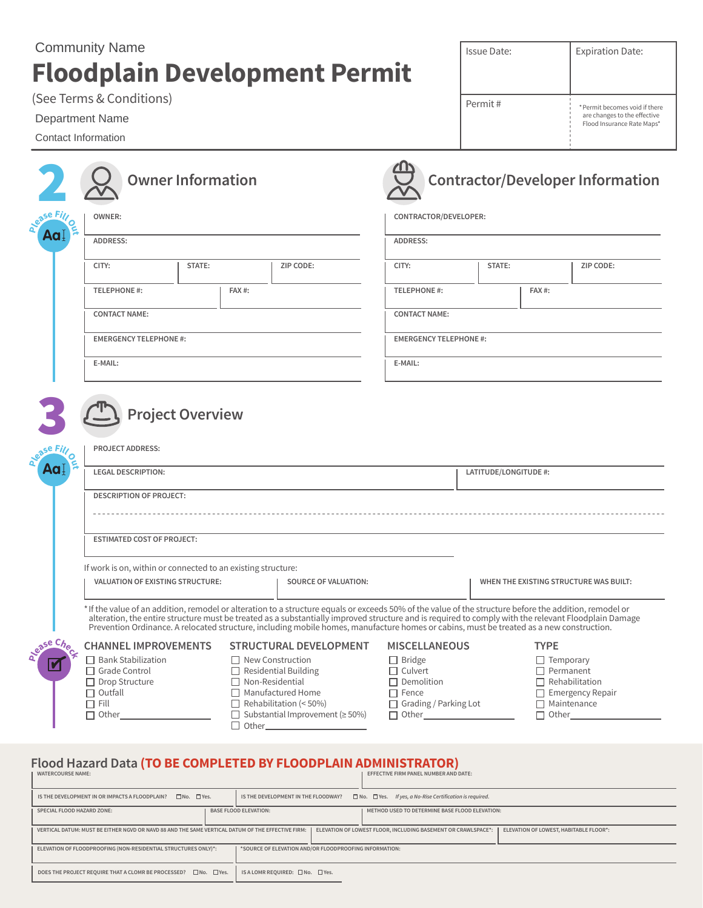## **Floodplain Development Permit** Community Name

(See Terms & Conditions)

### Department Name

Contact Information

|           | <b>Owner Information</b>                                                                                                                                                                                                                                                                                                                                                                                                                                   |       |                               |                                                      |                       | <b>Contractor/Developer Information</b> |  |
|-----------|------------------------------------------------------------------------------------------------------------------------------------------------------------------------------------------------------------------------------------------------------------------------------------------------------------------------------------------------------------------------------------------------------------------------------------------------------------|-------|-------------------------------|------------------------------------------------------|-----------------------|-----------------------------------------|--|
| ease Fill | <b>OWNER:</b>                                                                                                                                                                                                                                                                                                                                                                                                                                              |       |                               | CONTRACTOR/DEVELOPER:                                |                       |                                         |  |
| Aa        | ADDRESS:                                                                                                                                                                                                                                                                                                                                                                                                                                                   |       |                               | ADDRESS:                                             |                       |                                         |  |
|           | CITY:<br>STATE:                                                                                                                                                                                                                                                                                                                                                                                                                                            |       | ZIP CODE:                     | CITY:                                                | STATE:                | ZIP CODE:                               |  |
|           | <b>TELEPHONE #:</b>                                                                                                                                                                                                                                                                                                                                                                                                                                        | FAX#: |                               | <b>TELEPHONE #:</b>                                  | FAX#:                 |                                         |  |
|           | <b>CONTACT NAME:</b>                                                                                                                                                                                                                                                                                                                                                                                                                                       |       |                               | <b>CONTACT NAME:</b>                                 |                       |                                         |  |
|           | <b>EMERGENCY TELEPHONE #:</b>                                                                                                                                                                                                                                                                                                                                                                                                                              |       |                               | <b>EMERGENCY TELEPHONE#:</b>                         |                       |                                         |  |
|           | E-MAIL:                                                                                                                                                                                                                                                                                                                                                                                                                                                    |       |                               | E-MAIL:                                              |                       |                                         |  |
| Aa.       | <b>LEGAL DESCRIPTION:</b><br><b>DESCRIPTION OF PROJECT:</b>                                                                                                                                                                                                                                                                                                                                                                                                |       | LATITUDE/LONGITUDE #:         |                                                      |                       |                                         |  |
|           |                                                                                                                                                                                                                                                                                                                                                                                                                                                            |       |                               |                                                      |                       |                                         |  |
|           | <b>ESTIMATED COST OF PROJECT:</b>                                                                                                                                                                                                                                                                                                                                                                                                                          |       |                               |                                                      |                       |                                         |  |
|           | If work is on, within or connected to an existing structure:<br><b>VALUATION OF EXISTING STRUCTURE:</b><br><b>SOURCE OF VALUATION:</b>                                                                                                                                                                                                                                                                                                                     |       |                               | WHEN THE EXISTING STRUCTURE WAS BUILT:               |                       |                                         |  |
|           | *If the value of an addition, remodel or alteration to a structure equals or exceeds 50% of the value of the structure before the addition, remodel or<br>alteration, the entire structure must be treated as a substantially improved structure and is required to comply with the relevant Floodplain Damage<br>Prevention Ordinance. A relocated structure, including mobile homes, manufacture homes or cabins, must be treated as a new construction. |       |                               |                                                      |                       |                                         |  |
| ease Che  | <b>CHANNEL IMPROVEMENTS</b>                                                                                                                                                                                                                                                                                                                                                                                                                                |       | <b>STRUCTURAL DEVELOPMENT</b> | <b>MISCELLANEOUS</b>                                 |                       | <b>TYPE</b>                             |  |
|           | $\Box$ Bank Stabilization<br>$\Box$ New Construction<br>□ Grade Control<br>$\Box$ Residential Building<br>$\Box$ Drop Structure<br>$\Box$ Non-Residential<br>$\Box$ Outfall<br>$\Box$ Manufactured Home<br>$\Box$ Fill<br>$\Box$ Rehabilitation (< 50%)<br>□ Substantial Improvement ( $\geq$ 50%)<br>$\Box$ Other                                                                                                                                         |       |                               | $\Box$ Bridge<br>$\Box$ Culvert<br>$\Box$ Demolition | $\Box$ Rehabilitation | $\Box$ Temporary<br>$\Box$ Permanent    |  |

Issue Date:

Expiration Date:

\*Permit becomes void if there are changes to the effective Flood Insurance Rate Maps\*

Permit #

#### **WATERCOURSE NAME: EFFECTIVE FIRM PANEL NUMBER AND DATE: Flood Hazard Data (TO BE COMPLETED BY FLOODPLAIN ADMINISTRATOR)**

Other\_\_\_

| IS THE DEVELOPMENT IN OR IMPACTS A FLOODPLAIN?<br>$\Box$ No. $\Box$ Yes. |                                                                                                                                                                                                              | $\Box$ No. $\Box$ Yes. If yes, a No-Rise Certification is required.<br>IS THE DEVELOPMENT IN THE FLOODWAY? |  |  |  |  |
|--------------------------------------------------------------------------|--------------------------------------------------------------------------------------------------------------------------------------------------------------------------------------------------------------|------------------------------------------------------------------------------------------------------------|--|--|--|--|
|                                                                          | <b>SPECIAL FLOOD HAZARD ZONE:</b>                                                                                                                                                                            | <b>BASE FLOOD ELEVATION:</b><br>METHOD USED TO DETERMINE BASE FLOOD ELEVATION:                             |  |  |  |  |
|                                                                          | ELEVATION OF LOWEST FLOOR, INCLUDING BASEMENT OR CRAWLSPACE*:<br>ELEVATION OF LOWEST, HABITABLE FLOOR*:<br>VERTICAL DATUM: MUST BE EITHER NGVD OR NAVD 88 AND THE SAME VERTICAL DATUM OF THE EFFECTIVE FIRM: |                                                                                                            |  |  |  |  |
|                                                                          | ELEVATION OF FLOODPROOFING (NON-RESIDENTIAL STRUCTURES ONLY)*:                                                                                                                                               | *SOURCE OF ELEVATION AND/OR FLOODPROOFING INFORMATION:                                                     |  |  |  |  |
|                                                                          | DOES THE PROJECT REQUIRE THAT A CLOMR BE PROCESSED? □ No. □ Yes.                                                                                                                                             | IS A LOMR REQUIRED: $\square$ No. $\square$ Yes.                                                           |  |  |  |  |